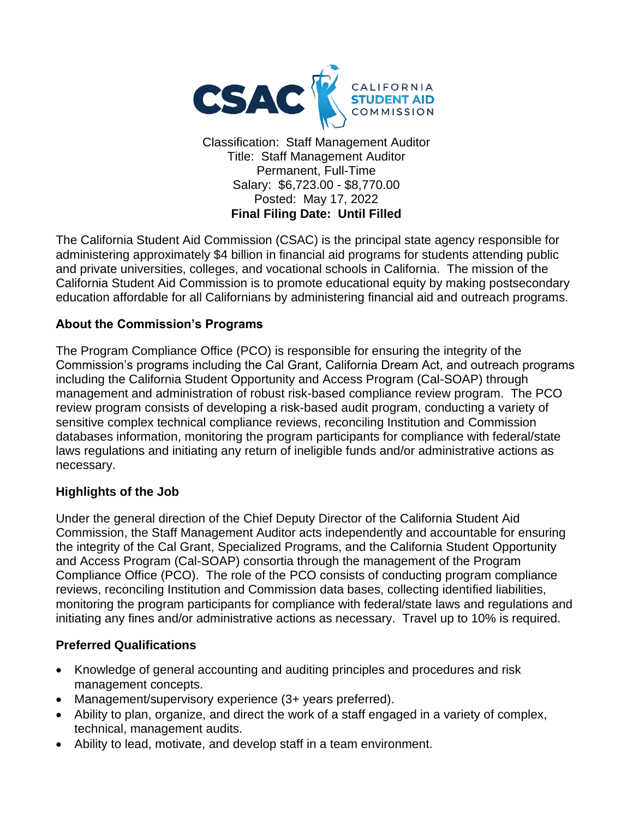

Classification: Staff Management Auditor Title: Staff Management Auditor Permanent, Full-Time Salary: \$6,723.00 - \$8,770.00 Posted: May 17, 2022 **Final Filing Date: Until Filled**

The California Student Aid Commission (CSAC) is the principal state agency responsible for administering approximately \$4 billion in financial aid programs for students attending public and private universities, colleges, and vocational schools in California. The mission of the California Student Aid Commission is to promote educational equity by making postsecondary education affordable for all Californians by administering financial aid and outreach programs.

#### **About the Commission's Programs**

The Program Compliance Office (PCO) is responsible for ensuring the integrity of the Commission's programs including the Cal Grant, California Dream Act, and outreach programs including the California Student Opportunity and Access Program (Cal-SOAP) through management and administration of robust risk-based compliance review program. The PCO review program consists of developing a risk-based audit program, conducting a variety of sensitive complex technical compliance reviews, reconciling Institution and Commission databases information, monitoring the program participants for compliance with federal/state laws regulations and initiating any return of ineligible funds and/or administrative actions as necessary.

#### **Highlights of the Job**

Under the general direction of the Chief Deputy Director of the California Student Aid Commission, the Staff Management Auditor acts independently and accountable for ensuring the integrity of the Cal Grant, Specialized Programs, and the California Student Opportunity and Access Program (Cal-SOAP) consortia through the management of the Program Compliance Office (PCO). The role of the PCO consists of conducting program compliance reviews, reconciling Institution and Commission data bases, collecting identified liabilities, monitoring the program participants for compliance with federal/state laws and regulations and initiating any fines and/or administrative actions as necessary. Travel up to 10% is required.

#### **Preferred Qualifications**

- Knowledge of general accounting and auditing principles and procedures and risk management concepts.
- Management/supervisory experience (3+ years preferred).
- Ability to plan, organize, and direct the work of a staff engaged in a variety of complex, technical, management audits.
- Ability to lead, motivate, and develop staff in a team environment.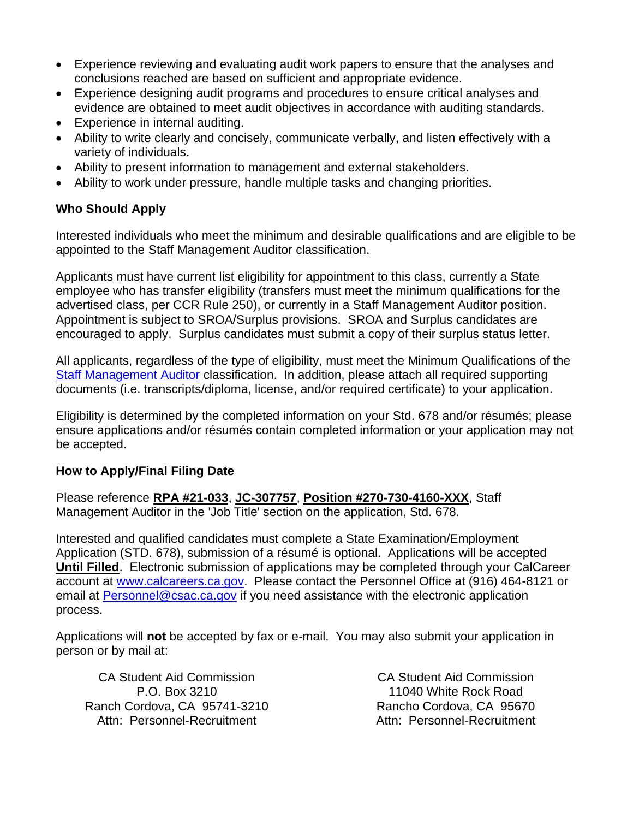- Experience reviewing and evaluating audit work papers to ensure that the analyses and conclusions reached are based on sufficient and appropriate evidence.
- Experience designing audit programs and procedures to ensure critical analyses and evidence are obtained to meet audit objectives in accordance with auditing standards.
- Experience in internal auditing.
- Ability to write clearly and concisely, communicate verbally, and listen effectively with a variety of individuals.
- Ability to present information to management and external stakeholders.
- Ability to work under pressure, handle multiple tasks and changing priorities.

#### **Who Should Apply**

Interested individuals who meet the minimum and desirable qualifications and are eligible to be appointed to the Staff Management Auditor classification.

Applicants must have current list eligibility for appointment to this class, currently a State employee who has transfer eligibility (transfers must meet the minimum qualifications for the advertised class, per CCR Rule 250), or currently in a Staff Management Auditor position. Appointment is subject to SROA/Surplus provisions. SROA and Surplus candidates are encouraged to apply. Surplus candidates must submit a copy of their surplus status letter.

All applicants, regardless of the type of eligibility, must meet the Minimum Qualifications of the [Staff Management Auditor](https://www.calhr.ca.gov/state-hr-professionals/Pages/5841.aspx) classification. In addition, please attach all required supporting documents (i.e. transcripts/diploma, license, and/or required certificate) to your application.

Eligibility is determined by the completed information on your Std. 678 and/or résumés; please ensure applications and/or résumés contain completed information or your application may not be accepted.

#### **How to Apply/Final Filing Date**

Please reference **RPA #21-033**, **JC-307757**, **Position #270-730-4160-XXX**, Staff Management Auditor in the 'Job Title' section on the application, Std. 678.

Interested and qualified candidates must complete a State Examination/Employment Application (STD. 678), submission of a résumé is optional. Applications will be accepted **Until Filled**. Electronic submission of applications may be completed through your CalCareer account at [www.calcareers.ca.gov.](http://www.jobs.ca.gov/) Please contact the Personnel Office at (916) 464-8121 or email at [Personnel@csac.ca.gov](mailto:Personnel@csac.ca.gov) if you need assistance with the electronic application process.

Applications will **not** be accepted by fax or e-mail. You may also submit your application in person or by mail at:

CA Student Aid Commission P.O. Box 3210 Ranch Cordova, CA 95741-3210 Attn: Personnel-Recruitment

CA Student Aid Commission 11040 White Rock Road Rancho Cordova, CA 95670 Attn: Personnel-Recruitment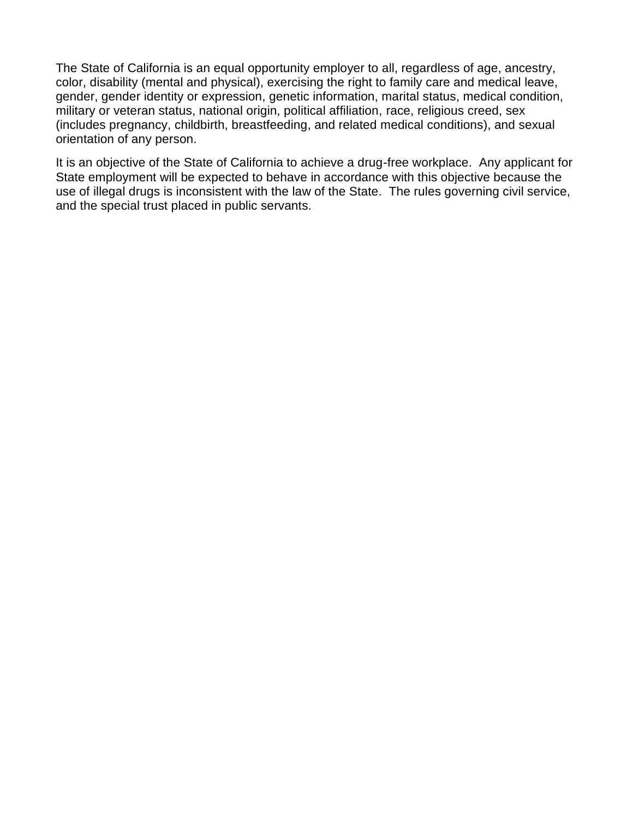The State of California is an equal opportunity employer to all, regardless of age, ancestry, color, disability (mental and physical), exercising the right to family care and medical leave, gender, gender identity or expression, genetic information, marital status, medical condition, military or veteran status, national origin, political affiliation, race, religious creed, sex (includes pregnancy, childbirth, breastfeeding, and related medical conditions), and sexual orientation of any person.

It is an objective of the State of California to achieve a drug-free workplace. Any applicant for State employment will be expected to behave in accordance with this objective because the use of illegal drugs is inconsistent with the law of the State. The rules governing civil service, and the special trust placed in public servants.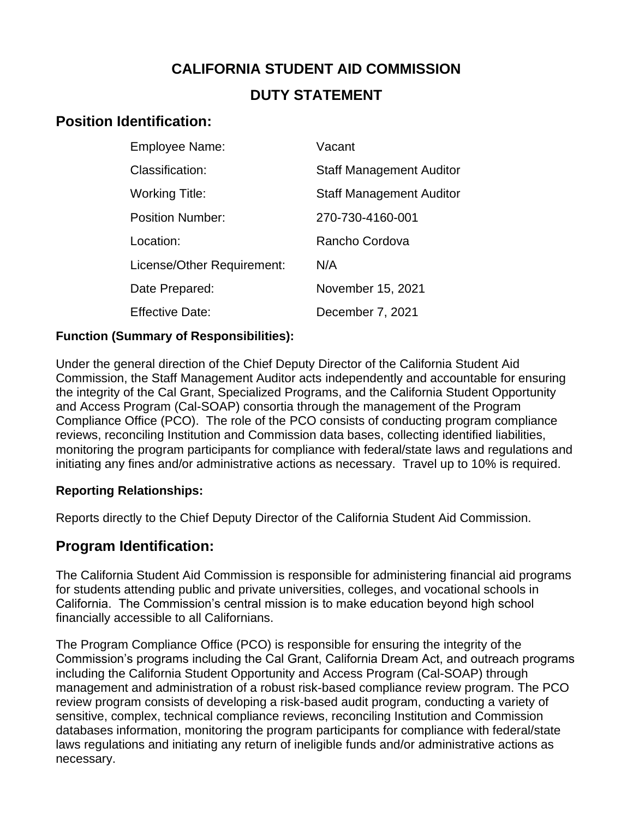# **CALIFORNIA STUDENT AID COMMISSION DUTY STATEMENT**

## **Position Identification:**

| <b>Employee Name:</b>      | Vacant                          |
|----------------------------|---------------------------------|
| Classification:            | <b>Staff Management Auditor</b> |
| <b>Working Title:</b>      | <b>Staff Management Auditor</b> |
| <b>Position Number:</b>    | 270-730-4160-001                |
| Location:                  | Rancho Cordova                  |
| License/Other Requirement: | N/A                             |
| Date Prepared:             | November 15, 2021               |
| <b>Effective Date:</b>     | December 7, 2021                |

#### **Function (Summary of Responsibilities):**

Under the general direction of the Chief Deputy Director of the California Student Aid Commission, the Staff Management Auditor acts independently and accountable for ensuring the integrity of the Cal Grant, Specialized Programs, and the California Student Opportunity and Access Program (Cal-SOAP) consortia through the management of the Program Compliance Office (PCO). The role of the PCO consists of conducting program compliance reviews, reconciling Institution and Commission data bases, collecting identified liabilities, monitoring the program participants for compliance with federal/state laws and regulations and initiating any fines and/or administrative actions as necessary. Travel up to 10% is required.

#### **Reporting Relationships:**

Reports directly to the Chief Deputy Director of the California Student Aid Commission.

## **Program Identification:**

The California Student Aid Commission is responsible for administering financial aid programs for students attending public and private universities, colleges, and vocational schools in California. The Commission's central mission is to make education beyond high school financially accessible to all Californians.

The Program Compliance Office (PCO) is responsible for ensuring the integrity of the Commission's programs including the Cal Grant, California Dream Act, and outreach programs including the California Student Opportunity and Access Program (Cal-SOAP) through management and administration of a robust risk-based compliance review program. The PCO review program consists of developing a risk-based audit program, conducting a variety of sensitive, complex, technical compliance reviews, reconciling Institution and Commission databases information, monitoring the program participants for compliance with federal/state laws regulations and initiating any return of ineligible funds and/or administrative actions as necessary.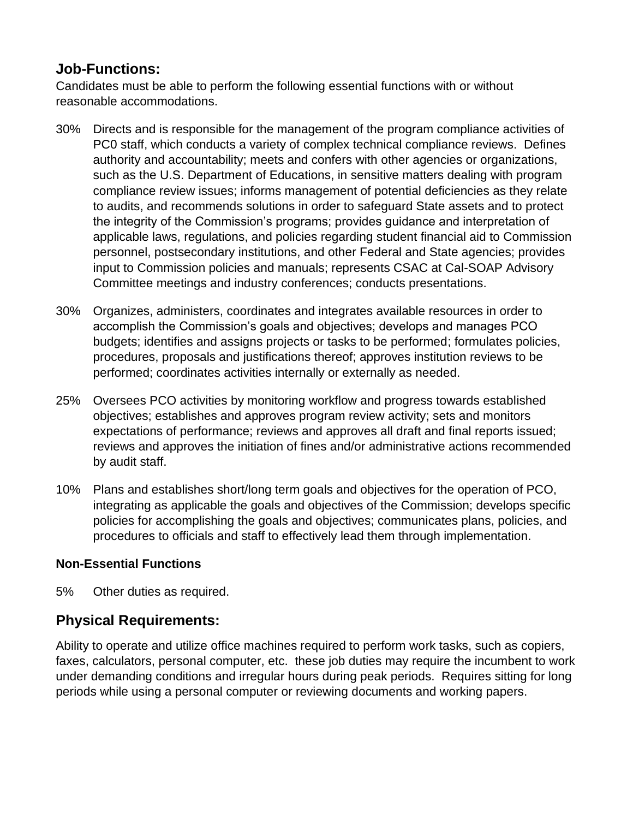## **Job-Functions:**

Candidates must be able to perform the following essential functions with or without reasonable accommodations.

- 30% Directs and is responsible for the management of the program compliance activities of PC0 staff, which conducts a variety of complex technical compliance reviews. Defines authority and accountability; meets and confers with other agencies or organizations, such as the U.S. Department of Educations, in sensitive matters dealing with program compliance review issues; informs management of potential deficiencies as they relate to audits, and recommends solutions in order to safeguard State assets and to protect the integrity of the Commission's programs; provides guidance and interpretation of applicable laws, regulations, and policies regarding student financial aid to Commission personnel, postsecondary institutions, and other Federal and State agencies; provides input to Commission policies and manuals; represents CSAC at Cal-SOAP Advisory Committee meetings and industry conferences; conducts presentations.
- 30% Organizes, administers, coordinates and integrates available resources in order to accomplish the Commission's goals and objectives; develops and manages PCO budgets; identifies and assigns projects or tasks to be performed; formulates policies, procedures, proposals and justifications thereof; approves institution reviews to be performed; coordinates activities internally or externally as needed.
- 25% Oversees PCO activities by monitoring workflow and progress towards established objectives; establishes and approves program review activity; sets and monitors expectations of performance; reviews and approves all draft and final reports issued; reviews and approves the initiation of fines and/or administrative actions recommended by audit staff.
- 10% Plans and establishes short/long term goals and objectives for the operation of PCO, integrating as applicable the goals and objectives of the Commission; develops specific policies for accomplishing the goals and objectives; communicates plans, policies, and procedures to officials and staff to effectively lead them through implementation.

#### **Non-Essential Functions**

5% Other duties as required.

## **Physical Requirements:**

Ability to operate and utilize office machines required to perform work tasks, such as copiers, faxes, calculators, personal computer, etc. these job duties may require the incumbent to work under demanding conditions and irregular hours during peak periods. Requires sitting for long periods while using a personal computer or reviewing documents and working papers.